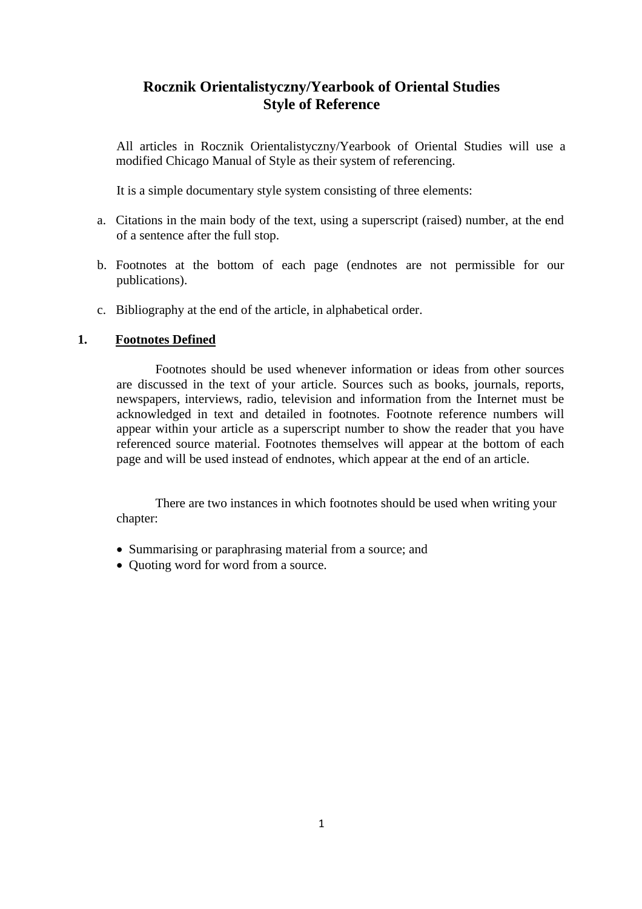# **Rocznik Orientalistyczny/Yearbook of Oriental Studies Style of Reference**

All articles in Rocznik Orientalistyczny/Yearbook of Oriental Studies will use a modified Chicago Manual of Style as their system of referencing.

It is a simple documentary style system consisting of three elements:

- a. Citations in the main body of the text, using a superscript (raised) number, at the end of a sentence after the full stop.
- b. Footnotes at the bottom of each page (endnotes are not permissible for our publications).
- c. Bibliography at the end of the article, in alphabetical order.

# **1. Footnotes Defined**

Footnotes should be used whenever information or ideas from other sources are discussed in the text of your article. Sources such as books, journals, reports, newspapers, interviews, radio, television and information from the Internet must be acknowledged in text and detailed in footnotes. Footnote reference numbers will appear within your article as a superscript number to show the reader that you have referenced source material. Footnotes themselves will appear at the bottom of each page and will be used instead of endnotes, which appear at the end of an article.

There are two instances in which footnotes should be used when writing your chapter:

- Summarising or paraphrasing material from a source; and
- Ouoting word for word from a source.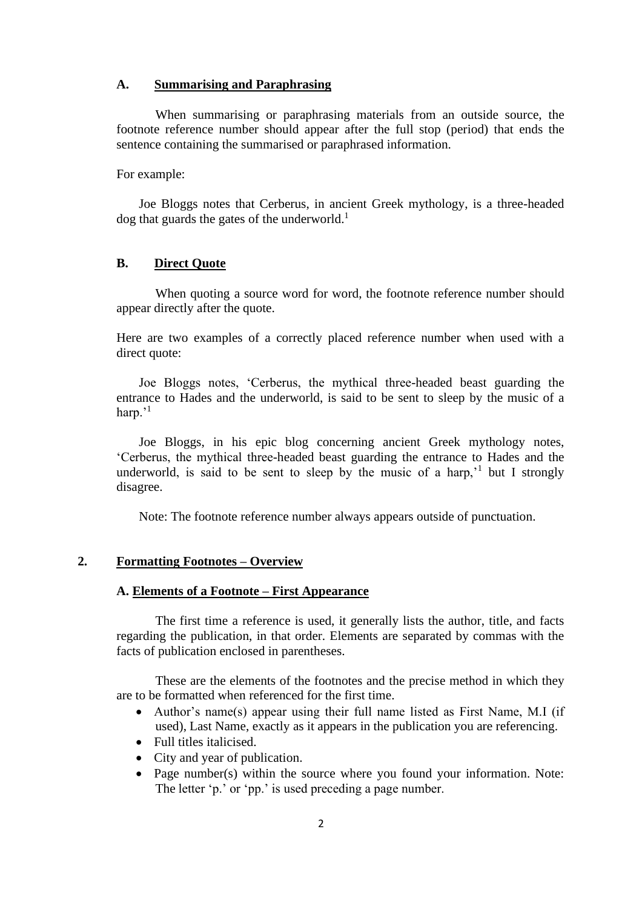#### **A. Summarising and Paraphrasing**

When summarising or paraphrasing materials from an outside source, the footnote reference number should appear after the full stop (period) that ends the sentence containing the summarised or paraphrased information.

For example:

Joe Bloggs notes that Cerberus, in ancient Greek mythology, is a three-headed  $\log$  that guards the gates of the underworld.<sup>1</sup>

#### **B. Direct Quote**

When quoting a source word for word, the footnote reference number should appear directly after the quote.

Here are two examples of a correctly placed reference number when used with a direct quote:

Joe Bloggs notes, 'Cerberus, the mythical three-headed beast guarding the entrance to Hades and the underworld, is said to be sent to sleep by the music of a harp.'<sup>1</sup>

Joe Bloggs, in his epic blog concerning ancient Greek mythology notes, 'Cerberus, the mythical three-headed beast guarding the entrance to Hades and the underworld, is said to be sent to sleep by the music of a harp,<sup>1</sup> but I strongly disagree.

Note: The footnote reference number always appears outside of punctuation.

#### **2. Formatting Footnotes – Overview**

#### **A. Elements of a Footnote – First Appearance**

The first time a reference is used, it generally lists the author, title, and facts regarding the publication, in that order. Elements are separated by commas with the facts of publication enclosed in parentheses.

These are the elements of the footnotes and the precise method in which they are to be formatted when referenced for the first time.

- Author's name(s) appear using their full name listed as First Name, M.I (if used), Last Name, exactly as it appears in the publication you are referencing.
- Full titles italicised.
- City and year of publication.
- Page number(s) within the source where you found your information. Note: The letter 'p.' or 'pp.' is used preceding a page number.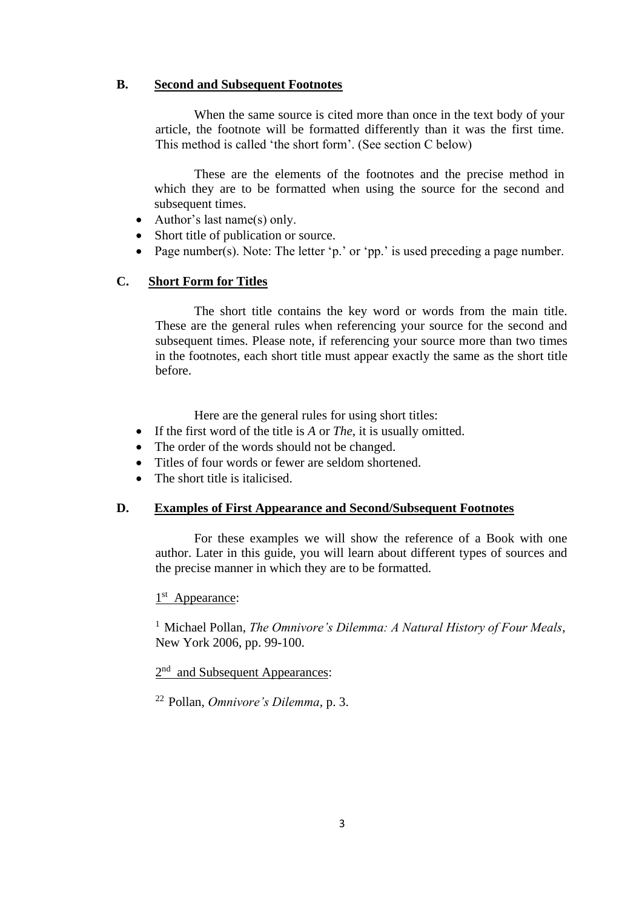# **B. Second and Subsequent Footnotes**

When the same source is cited more than once in the text body of your article, the footnote will be formatted differently than it was the first time. This method is called 'the short form'. (See section C below)

These are the elements of the footnotes and the precise method in which they are to be formatted when using the source for the second and subsequent times.

- Author's last name(s) only.
- Short title of publication or source.
- Page number(s). Note: The letter 'p.' or 'pp.' is used preceding a page number.

# **C. Short Form for Titles**

The short title contains the key word or words from the main title. These are the general rules when referencing your source for the second and subsequent times. Please note, if referencing your source more than two times in the footnotes, each short title must appear exactly the same as the short title before.

Here are the general rules for using short titles:

- If the first word of the title is *A* or *The*, it is usually omitted.
- The order of the words should not be changed.
- Titles of four words or fewer are seldom shortened.
- The short title is italicised.

# **D. Examples of First Appearance and Second/Subsequent Footnotes**

For these examples we will show the reference of a Book with one author. Later in this guide, you will learn about different types of sources and the precise manner in which they are to be formatted.

# 1<sup>st</sup> Appearance:

<sup>1</sup> Michael Pollan, *The Omnivore's Dilemma: A Natural History of Four Meals*, New York 2006, pp. 99-100.

2<sup>nd</sup> and Subsequent Appearances:

<sup>22</sup>Pollan, *Omnivore's Dilemma*, p. 3.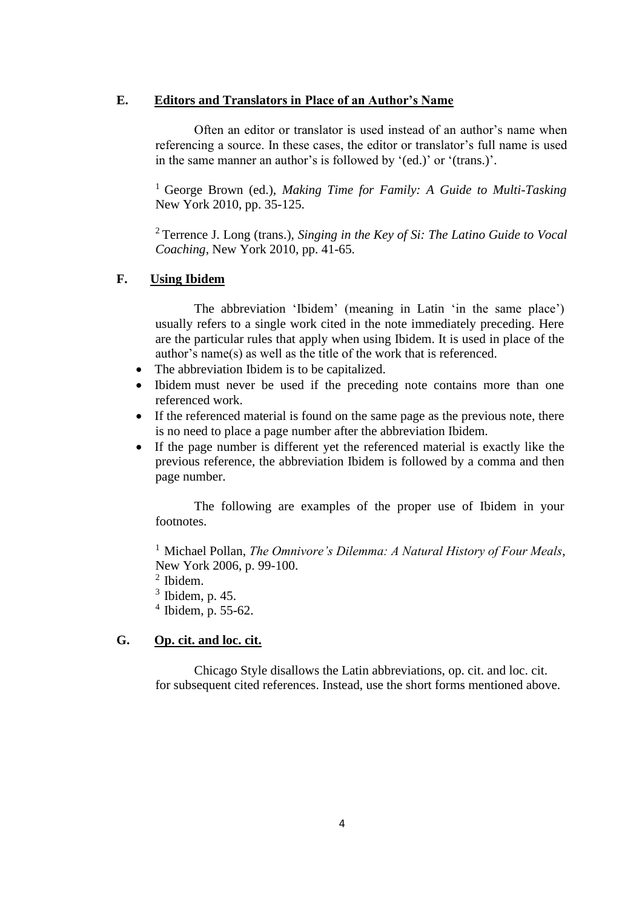#### **E. Editors and Translators in Place of an Author's Name**

Often an editor or translator is used instead of an author's name when referencing a source. In these cases, the editor or translator's full name is used in the same manner an author's is followed by '(ed.)' or '(trans.)'.

<sup>1</sup> George Brown (ed.), *Making Time for Family: A Guide to Multi-Tasking* New York 2010, pp. 35-125.

<sup>2</sup>Terrence J. Long (trans.), *Singing in the Key of Si: The Latino Guide to Vocal Coaching*, New York 2010, pp. 41-65.

### **F. Using Ibidem**

The abbreviation 'Ibidem' (meaning in Latin 'in the same place') usually refers to a single work cited in the note immediately preceding. Here are the particular rules that apply when using Ibidem. It is used in place of the author's name(s) as well as the title of the work that is referenced.

- The abbreviation Ibidem is to be capitalized.
- Ibidem must never be used if the preceding note contains more than one referenced work.
- If the referenced material is found on the same page as the previous note, there is no need to place a page number after the abbreviation Ibidem.
- If the page number is different yet the referenced material is exactly like the previous reference, the abbreviation Ibidem is followed by a comma and then page number.

The following are examples of the proper use of Ibidem in your footnotes.

<sup>1</sup> Michael Pollan, *The Omnivore's Dilemma: A Natural History of Four Meals*, New York 2006, p. 99-100.

 $<sup>2</sup>$  Ibidem.</sup>

 $3$  Ibidem, p. 45.

 $4$  Ibidem, p. 55-62.

#### **G. Op. cit. and loc. cit.**

Chicago Style disallows the Latin abbreviations, op. cit. and loc. cit. for subsequent cited references. Instead, use the short forms mentioned above.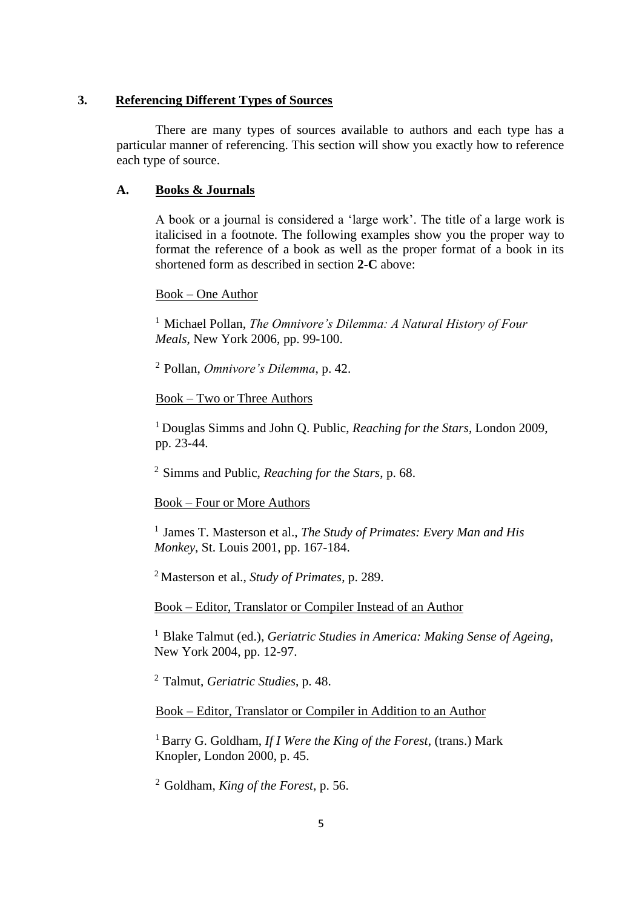#### **3. Referencing Different Types of Sources**

There are many types of sources available to authors and each type has a particular manner of referencing. This section will show you exactly how to reference each type of source.

#### **A. Books & Journals**

A book or a journal is considered a 'large work'. The title of a large work is italicised in a footnote. The following examples show you the proper way to format the reference of a book as well as the proper format of a book in its shortened form as described in section **2-C** above:

#### Book – One Author

<sup>1</sup> Michael Pollan, *The Omnivore's Dilemma: A Natural History of Four Meals*, New York 2006, pp. 99-100.

<sup>2</sup>Pollan, *Omnivore's Dilemma*, p. 42.

### Book – Two or Three Authors

<sup>1</sup>Douglas Simms and John Q. Public, *Reaching for the Stars*, London 2009, pp. 23-44.

<sup>2</sup>Simms and Public, *Reaching for the Stars*, p. 68.

#### Book – Four or More Authors

<sup>1</sup> James T. Masterson et al., *The Study of Primates: Every Man and His Monkey*, St. Louis 2001, pp. 167-184.

<sup>2</sup> Masterson et al., *Study of Primates*, p. 289.

Book – Editor, Translator or Compiler Instead of an Author

<sup>1</sup> Blake Talmut (ed.), *Geriatric Studies in America: Making Sense of Ageing*, New York 2004, pp. 12-97.

<sup>2</sup>Talmut, *Geriatric Studies*, p. 48.

Book – Editor, Translator or Compiler in Addition to an Author

<sup>1</sup>Barry G. Goldham, *If I Were the King of the Forest*, (trans.) Mark Knopler, London 2000, p. 45.

<sup>2</sup> Goldham, *King of the Forest*, p. 56.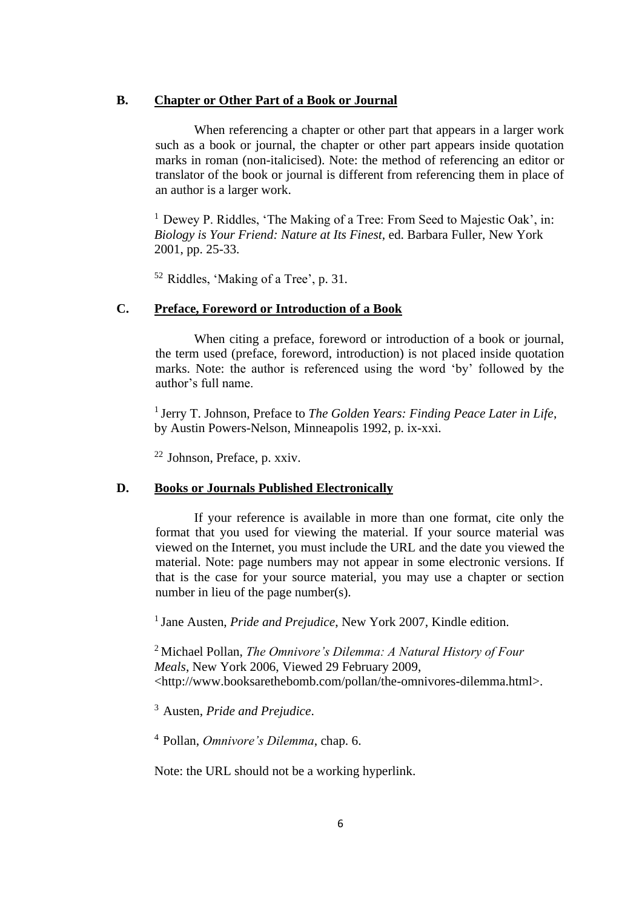#### **B. Chapter or Other Part of a Book or Journal**

When referencing a chapter or other part that appears in a larger work such as a book or journal, the chapter or other part appears inside quotation marks in roman (non-italicised). Note: the method of referencing an editor or translator of the book or journal is different from referencing them in place of an author is a larger work.

 $1$  Dewey P. Riddles, 'The Making of a Tree: From Seed to Majestic Oak', in: *Biology is Your Friend: Nature at Its Finest*, ed. Barbara Fuller, New York 2001, pp. 25-33.

 $52$  Riddles, 'Making of a Tree', p. 31.

#### **C. Preface, Foreword or Introduction of a Book**

When citing a preface, foreword or introduction of a book or journal, the term used (preface, foreword, introduction) is not placed inside quotation marks. Note: the author is referenced using the word 'by' followed by the author's full name.

<sup>1</sup> Jerry T. Johnson, Preface to *The Golden Years: Finding Peace Later in Life*, by Austin Powers-Nelson, Minneapolis 1992, p. ix-xxi.

 $22$  Johnson, Preface, p. xxiv.

#### **D. Books or Journals Published Electronically**

If your reference is available in more than one format, cite only the format that you used for viewing the material. If your source material was viewed on the Internet, you must include the URL and the date you viewed the material. Note: page numbers may not appear in some electronic versions. If that is the case for your source material, you may use a chapter or section number in lieu of the page number(s).

<sup>1</sup> Jane Austen, *Pride and Prejudice*, New York 2007, Kindle edition.

<sup>2</sup>Michael Pollan, *The Omnivore's Dilemma: A Natural History of Four Meals*, New York 2006, Viewed 29 February 2009, <http://www.booksarethebomb.com/pollan/the-omnivores-dilemma.html>.

<sup>3</sup>Austen, *Pride and Prejudice*.

<sup>4</sup>Pollan, *Omnivore's Dilemma*, chap. 6.

Note: the URL should not be a working hyperlink.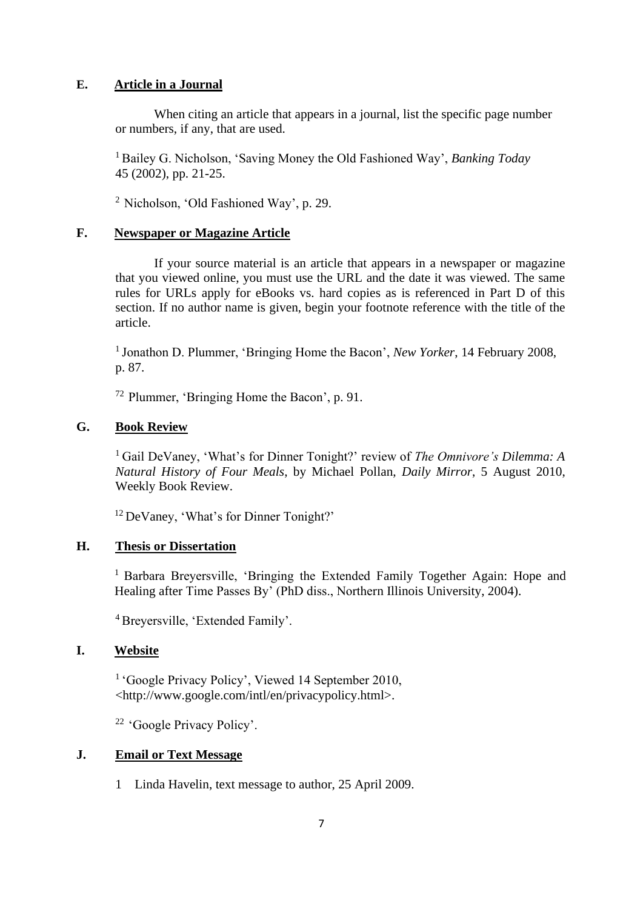# **E. Article in a Journal**

When citing an article that appears in a journal, list the specific page number or numbers, if any, that are used.

<sup>1</sup> Bailey G. Nicholson, 'Saving Money the Old Fashioned Way', *Banking Today* 45 (2002), pp. 21-25.

<sup>2</sup> Nicholson, 'Old Fashioned Way', p. 29.

### **F. Newspaper or Magazine Article**

If your source material is an article that appears in a newspaper or magazine that you viewed online, you must use the URL and the date it was viewed. The same rules for URLs apply for eBooks vs. hard copies as is referenced in Part D of this section. If no author name is given, begin your footnote reference with the title of the article.

<sup>1</sup> Jonathon D. Plummer, 'Bringing Home the Bacon', *New Yorker*, 14 February 2008, p. 87.

 $72$  Plummer, 'Bringing Home the Bacon', p. 91.

# **G. Book Review**

<sup>1</sup>Gail DeVaney, 'What's for Dinner Tonight?' review of *The Omnivore's Dilemma: A Natural History of Four Meals*, by Michael Pollan, *Daily Mirror*, 5 August 2010, Weekly Book Review.

<sup>12</sup> DeVaney, 'What's for Dinner Tonight?'

# **H. Thesis or Dissertation**

<sup>1</sup> Barbara Breyersville, 'Bringing the Extended Family Together Again: Hope and Healing after Time Passes By' (PhD diss., Northern Illinois University, 2004).

<sup>4</sup> Breyersville, 'Extended Family'.

#### **I. Website**

<sup>1</sup> 'Google Privacy Policy', Viewed 14 September 2010, <http://www.google.com/intl/en/privacypolicy.html>.

<sup>22</sup>'Google Privacy Policy'.

#### **J. Email or Text Message**

1 Linda Havelin, text message to author, 25 April 2009.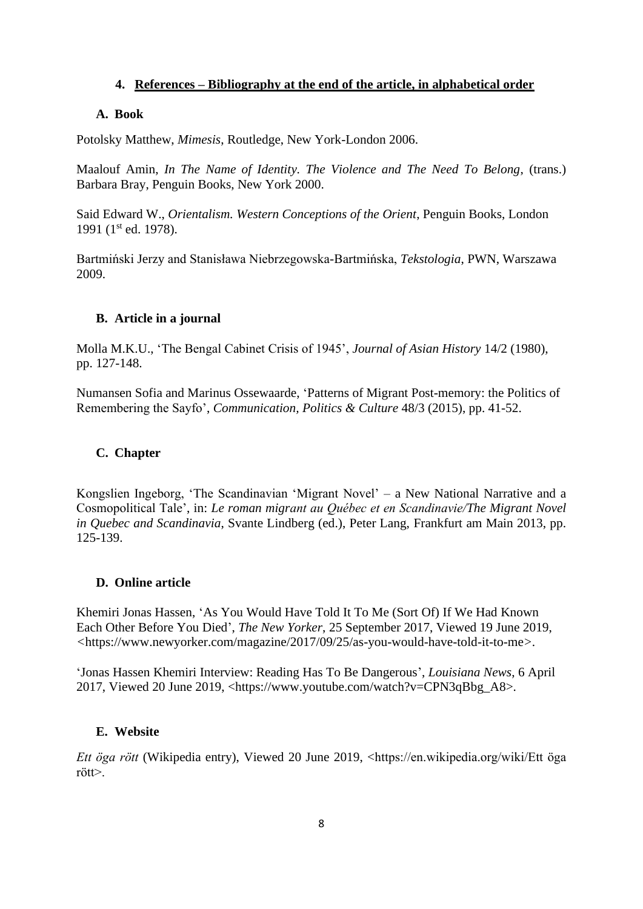# **4. References – Bibliography at the end of the article, in alphabetical order**

# **A. Book**

Potolsky Matthew, *Mimesis*, Routledge, New York-London 2006.

Maalouf Amin, *In The Name of Identity. The Violence and The Need To Belong*, (trans.) Barbara Bray, Penguin Books, New York 2000.

Said Edward W., *Orientalism. Western Conceptions of the Orient*, Penguin Books, London 1991 (1<sup>st</sup> ed. 1978).

Bartmiński Jerzy and Stanisława Niebrzegowska-Bartmińska, *Tekstologia*, PWN, Warszawa 2009.

# **B. Article in a journal**

Molla M.K.U., 'The Bengal Cabinet Crisis of 1945', *Journal of Asian History* 14/2 (1980), pp. 127*-*148.

Numansen Sofia and Marinus Ossewaarde, 'Patterns of Migrant Post-memory: the Politics of Remembering the Sayfo', *Communication, Politics & Culture* 48/3 (2015), pp. 41-52.

# **C. Chapter**

Kongslien Ingeborg, 'The Scandinavian 'Migrant Novel' – a New National Narrative and a Cosmopolitical Tale', in: *Le roman migrant au Québec et en Scandinavie/The Migrant Novel in Quebec and Scandinavia*, Svante Lindberg (ed.), Peter Lang, Frankfurt am Main 2013, pp. 125-139.

# **D. Online article**

Khemiri Jonas Hassen, 'As You Would Have Told It To Me (Sort Of) If We Had Known Each Other Before You Died', *The New Yorker*, 25 September 2017, Viewed 19 June 2019, *<*<https://www.newyorker.com/magazine/2017/09/25/as-you-would-have-told-it-to-me>*>.*

'Jonas Hassen Khemiri Interview: Reading Has To Be Dangerous', *Louisiana News*, 6 April 2017, Viewed 20 June 2019, <https://www.youtube.com/watch?v=CPN3qBbg\_A8>.

# **E. Website**

*Ett öga rött* (Wikipedia entry), Viewed 20 June 2019, <https://en.wikipedia.org/wiki/Ett öga rött>.